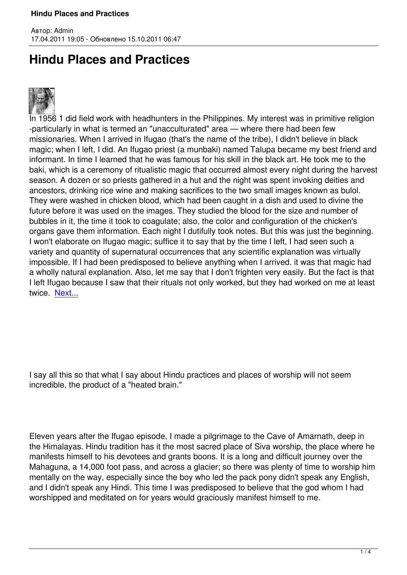

Автор: Admin

In 1956 1 did field work with headhunters in the Philippines. My interest was in primitive religion -particularly in what is termed an "unacculturated" area — where there had been few missionaries. When I arrived in Ifugao (that's the name of the tribe), I didn't believe in black magic; when I left, I did. An Ifugao priest (a munbaki) named Talupa became my best friend and informant. In time I learned that he was famous for his skill in the black art. He took me to the baki, which is a ceremony of ritualistic magic that occurred almost every night during the harvest season. A dozen or so priests gathered in a hut and the night was spent invoking deities and ancestors, drinking rice wine and making sacrifices to the two small images known as bulol. They were washed in chicken blood, which had been caught in a dish and used to divine the future before it was used on the images. They studied the blood for the size and number of bubbles in it, the time it took to coagulate; also, the color and configuration of the chicken's organs gave them information. Each night I dutifully took notes. But this was just the beginning. I won't elaborate on Ifugao magic; suffice it to say that by the time I left, I had seen such a variety and quantity of supernatural occurrences that any scientific explanation was virtually impossible. If I had been predisposed to believe anything when I arrived. it was that magic had a wholly natural explanation. Also, let me say that I don't frighten very easily. But the fact is that I left Ifugao because I saw that their rituals not only worked, but they had worked on me at least twice. Next...

I say all this so that what I say about Hindu practices and places of worship will not seem incredible, the product of a "heated brain."

Eleven years after the Ifugao episode, I made a pilgrimage to the Cave of Amarnath, deep in the Himalayas. Hindu tradition has it the most sacred place of Siva worship, the place where he manifests himself to his devotees and grants boons. It is a long and difficult journey over the Mahaguna, a 14,000 foot pass, and across a glacier; so there was plenty of time to worship him mentally on the way, especially since the boy who led the pack pony didn't speak any English, and I didn't speak any Hindi. This time I was predisposed to believe that the god whom I had worshipped and meditated on for years would graciously manifest himself to me.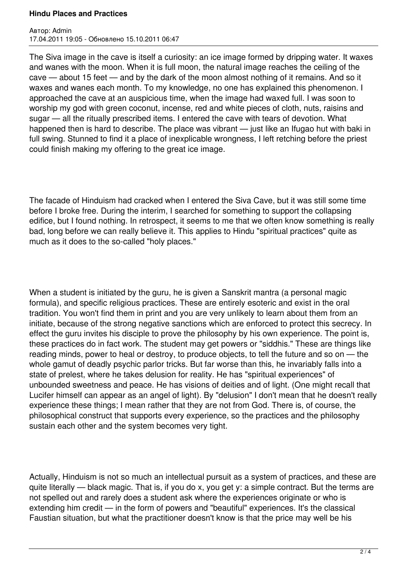Автор: Admin 17.04.2011 19:05 - Обновлено 15.10.2011 06:47

The Siva image in the cave is itself a curiosity: an ice image formed by dripping water. It waxes and wanes with the moon. When it is full moon, the natural image reaches the ceiling of the cave — about 15 feet — and by the dark of the moon almost nothing of it remains. And so it waxes and wanes each month. To my knowledge, no one has explained this phenomenon. I approached the cave at an auspicious time, when the image had waxed full. I was soon to worship my god with green coconut, incense, red and white pieces of cloth, nuts, raisins and sugar — all the ritually prescribed items. I entered the cave with tears of devotion. What happened then is hard to describe. The place was vibrant — just like an Ifugao hut with baki in full swing. Stunned to find it a place of inexplicable wrongness, I left retching before the priest could finish making my offering to the great ice image.

The facade of Hinduism had cracked when I entered the Siva Cave, but it was still some time before I broke free. During the interim, I searched for something to support the collapsing edifice, but I found nothing. In retrospect, it seems to me that we often know something is really bad, long before we can really believe it. This applies to Hindu "spiritual practices" quite as much as it does to the so-called "holy places."

When a student is initiated by the guru, he is given a Sanskrit mantra (a personal magic formula), and specific religious practices. These are entirely esoteric and exist in the oral tradition. You won't find them in print and you are very unlikely to learn about them from an initiate, because of the strong negative sanctions which are enforced to protect this secrecy. In effect the guru invites his disciple to prove the philosophy by his own experience. The point is, these practices do in fact work. The student may get powers or "siddhis." These are things like reading minds, power to heal or destroy, to produce objects, to tell the future and so on — the whole gamut of deadly psychic parlor tricks. But far worse than this, he invariably falls into a state of prelest, where he takes delusion for reality. He has "spiritual experiences" of unbounded sweetness and peace. He has visions of deities and of light. (One might recall that Lucifer himself can appear as an angel of light). By "delusion" I don't mean that he doesn't really experience these things; I mean rather that they are not from God. There is, of course, the philosophical construct that supports every experience, so the practices and the philosophy sustain each other and the system becomes very tight.

Actually, Hinduism is not so much an intellectual pursuit as a system of practices, and these are quite literally — black magic. That is, if you do x, you get y: a simple contract. But the terms are not spelled out and rarely does a student ask where the experiences originate or who is extending him credit — in the form of powers and "beautiful" experiences. It's the classical Faustian situation, but what the practitioner doesn't know is that the price may well be his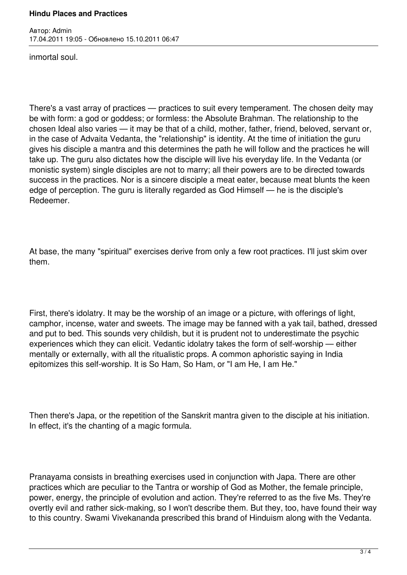Автор: Admin 17.04.2011 19:05 - Обновлено 15.10.2011 06:47

inmortal soul.

There's a vast array of practices — practices to suit every temperament. The chosen deity may be with form: a god or goddess; or formless: the Absolute Brahman. The relationship to the chosen Ideal also varies — it may be that of a child, mother, father, friend, beloved, servant or, in the case of Advaita Vedanta, the "relationship" is identity. At the time of initiation the guru gives his disciple a mantra and this determines the path he will follow and the practices he will take up. The guru also dictates how the disciple will live his everyday life. In the Vedanta (or monistic system) single disciples are not to marry; all their powers are to be directed towards success in the practices. Nor is a sincere disciple a meat eater, because meat blunts the keen edge of perception. The guru is literally regarded as God Himself — he is the disciple's Redeemer.

At base, the many "spiritual" exercises derive from only a few root practices. I'll just skim over them.

First, there's idolatry. It may be the worship of an image or a picture, with offerings of light, camphor, incense, water and sweets. The image may be fanned with a yak tail, bathed, dressed and put to bed. This sounds very childish, but it is prudent not to underestimate the psychic experiences which they can elicit. Vedantic idolatry takes the form of self-worship — either mentally or externally, with all the ritualistic props. A common aphoristic saying in India epitomizes this self-worship. It is So Ham, So Ham, or "I am He, I am He."

Then there's Japa, or the repetition of the Sanskrit mantra given to the disciple at his initiation. In effect, it's the chanting of a magic formula.

Pranayama consists in breathing exercises used in conjunction with Japa. There are other practices which are peculiar to the Tantra or worship of God as Mother, the female principle, power, energy, the principle of evolution and action. They're referred to as the five Ms. They're overtly evil and rather sick-making, so I won't describe them. But they, too, have found their way to this country. Swami Vivekananda prescribed this brand of Hinduism along with the Vedanta.